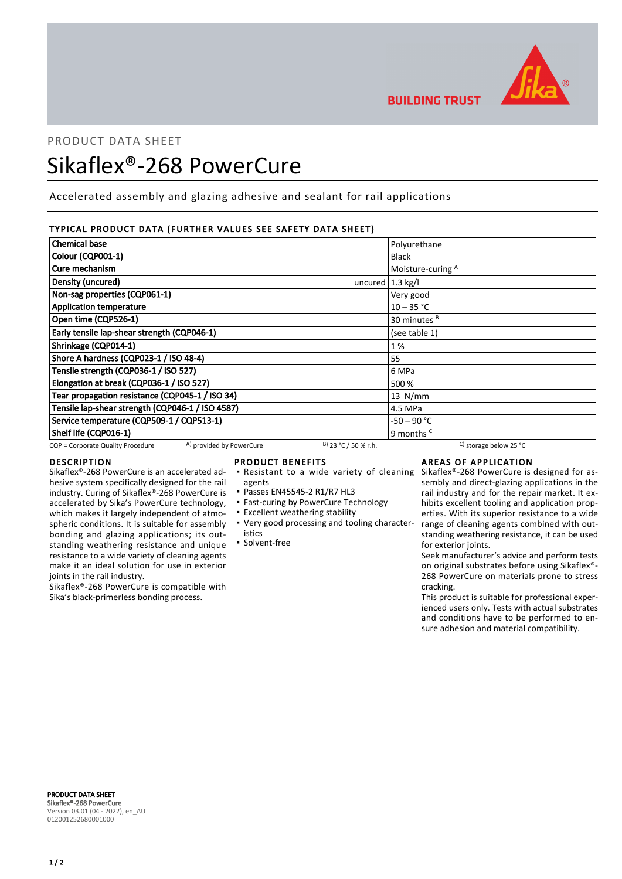

**BUILDING TRUST** 

# PRODUCT DATA SHEET

# Sikaflex®-268 PowerCure

Accelerated assembly and glazing adhesive and sealant for rail applications

# TYPICAL PRODUCT DATA (FURTHER VALUES SEE SAFETY DATA SHEET)

| <b>Chemical base</b>                                          |                        | Polyurethane                                 |
|---------------------------------------------------------------|------------------------|----------------------------------------------|
| Colour (CQP001-1)                                             |                        | <b>Black</b>                                 |
| Cure mechanism                                                |                        | Moisture-curing A                            |
| Density (uncured)                                             | uncured $1.3$ kg/l     |                                              |
| Non-sag properties (CQP061-1)                                 |                        | Very good                                    |
| <b>Application temperature</b>                                |                        | $10 - 35 °C$                                 |
| Open time (CQP526-1)                                          |                        | 30 minutes <sup>B</sup>                      |
| Early tensile lap-shear strength (CQP046-1)                   |                        | (see table 1)                                |
| Shrinkage (CQP014-1)                                          |                        | 1%                                           |
| Shore A hardness (CQP023-1 / ISO 48-4)                        |                        | 55                                           |
| Tensile strength (CQP036-1 / ISO 527)                         |                        | 6 MPa                                        |
| Elongation at break (CQP036-1 / ISO 527)                      |                        | 500 %                                        |
| Tear propagation resistance (CQP045-1 / ISO 34)               |                        | $13$ N/mm                                    |
| Tensile lap-shear strength (CQP046-1 / ISO 4587)              |                        | 4.5 MPa                                      |
| Service temperature (CQP509-1 / CQP513-1)                     |                        | -50 – 90 °C                                  |
| Shelf life (CQP016-1)                                         |                        | 9 months <sup>c</sup>                        |
| A) provided by PowerCure<br>CQP = Corporate Quality Procedure | $B)$ 23 °C / 50 % r.h. | <sup>C</sup> ) storage below 25 $^{\circ}$ C |

# DESCRIPTION

Sikaflex®-268 PowerCure is an accelerated adhesive system specifically designed for the rail industry. Curing of Sikaflex®-268 PowerCure is accelerated by Sika's PowerCure technology, which makes it largely independent of atmospheric conditions. It is suitable for assembly bonding and glazing applications; its outstanding weathering resistance and unique resistance to a wide variety of cleaning agents make it an ideal solution for use in exterior joints in the rail industry.

Sikaflex®-268 PowerCure is compatible with Sika's black-primerless bonding process.

#### PRODUCT BENEFITS

- **Resistant to a wide variety of cleaning**
- agents
- Passes EN45545-2 R1/R7 HL3
- **East-curing by PowerCure Technology**
- **Excellent weathering stability**
- Very good processing and tooling character-▪ istics
- **Solvent-free**

# AREAS OF APPLICATION

Sikaflex®-268 PowerCure is designed for assembly and direct-glazing applications in the rail industry and for the repair market. It exhibits excellent tooling and application properties. With its superior resistance to a wide range of cleaning agents combined with outstanding weathering resistance, it can be used for exterior joints.

Seek manufacturer's advice and perform tests on original substrates before using Sikaflex®- 268 PowerCure on materials prone to stress cracking.

This product is suitable for professional experienced users only. Tests with actual substrates and conditions have to be performed to ensure adhesion and material compatibility.

PRODUCT DATA SHEET Sikaflex®-268 PowerCure Version 03.01 (04 - 2022), en\_AU 012001252680001000